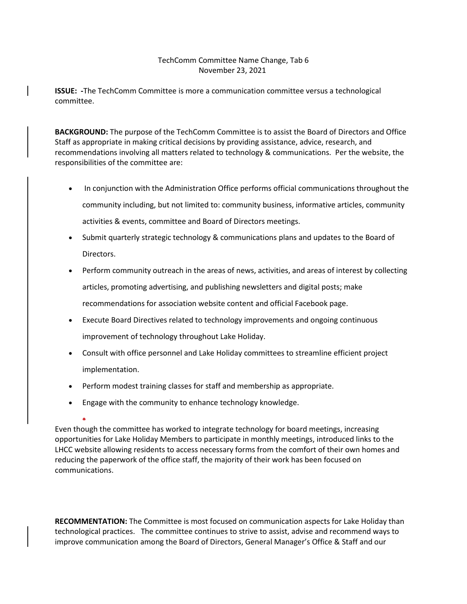## TechComm Committee Name Change, Tab 6 November 23, 2021

**ISSUE: -**The TechComm Committee is more a communication committee versus a technological committee.

**BACKGROUND:** The purpose of the TechComm Committee is to assist the Board of Directors and Office Staff as appropriate in making critical decisions by providing assistance, advice, research, and recommendations involving all matters related to technology & communications. Per the website, the responsibilities of the committee are:

- In conjunction with the Administration Office performs official communications throughout the community including, but not limited to: community business, informative articles, community activities & events, committee and Board of Directors meetings.
- Submit quarterly strategic technology & communications plans and updates to the Board of Directors.
- Perform community outreach in the areas of news, activities, and areas of interest by collecting articles, promoting advertising, and publishing newsletters and digital posts; make recommendations for association website content and official Facebook page.
- Execute Board Directives related to technology improvements and ongoing continuous improvement of technology throughout Lake Holiday.
- Consult with office personnel and Lake Holiday committees to streamline efficient project implementation.
- Perform modest training classes for staff and membership as appropriate.
- Engage with the community to enhance technology knowledge.

• Even though the committee has worked to integrate technology for board meetings, increasing opportunities for Lake Holiday Members to participate in monthly meetings, introduced links to the LHCC website allowing residents to access necessary forms from the comfort of their own homes and reducing the paperwork of the office staff, the majority of their work has been focused on communications.

**RECOMMENTATION:** The Committee is most focused on communication aspects for Lake Holiday than technological practices. The committee continues to strive to assist, advise and recommend ways to improve communication among the Board of Directors, General Manager's Office & Staff and our